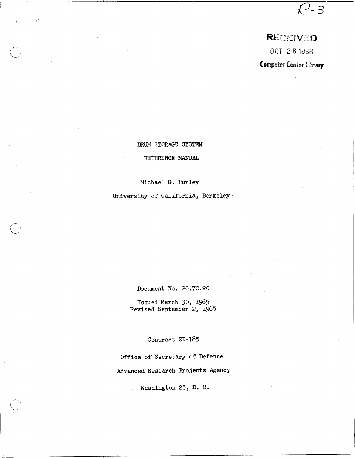# RECEIVED

 $R - 3$ 

0 CT 2 8 1966

**Computer Center Library** 

DRUM STORAGE SYSTEM

REFERENCE MANUAL

Michael G. Hurley

 $\diagup$ \ .  $\smile$ 

University of California, Berkeley

Document No. 20.70.20

Issued March 30, 1965 Revised September 2, 1965

Contract SD-185

Office of Secretary of Defense Advanced Research Projects Agency

Washington 25, D. C.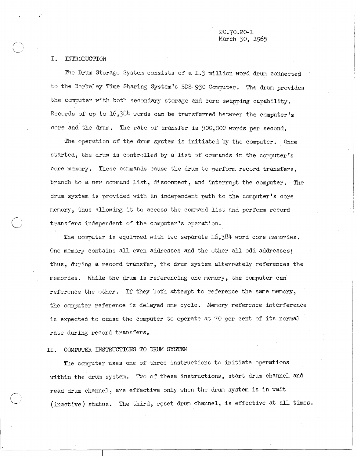20.70.20-1 March 30, 1965

#### I. INTRODUCTION

o

 $\bigcirc$ /

The Drum Storage System consists of a 1.3 million word drum connected to the Berkeley Time Sharing System's SDS-930 Computer. The drum provides the computer with both secondary storage and core swapping capability. Records of up to  $16,384$  words can be transferred between the computer's core and the drum. The rate of transfer is 500,000 words per second.

The operation of the drum system is initiated by the computer. Once started, the drum is controlled by a list of commands in the computer's core memory. These commands cause the drum to perform record transfers, branch to a new command list, disconnect, and interrupt the computer. The drum system is provided with an independent path to the computer's core nenory, thus allowing it to access the connnand list and perform record transfers independent of the computer's operation.

The computer is equipped with two separate  $16,384$  word core memories. One memory contains all even addresses and the other all odd addresses; thus, during a record transfer, the drum system alternately references the memories. While the drum is referencing one memory, the computer can reference the other. If they both attempt to reference the same memory, the computer reference is delayed one cycle. Memory reference interference is expected to cause the computer to operate at 70 per cent of its normal rate during record transfers.

#### II. COMPUTER INSTRUCTIONS TO DRUM SYSTEM

The computer uses one of three instructions to initiate operations within the drum system. Two of these instructions, start drum channel and read drum channel, are effective only when the drum system is in wait (inactive) status. The third, reset drum channel, is effective at all times.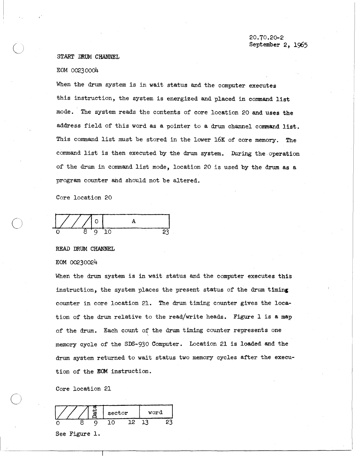#### . START DRUM CHANNEL

#### EOM 00230004

 $\bigcirc$ 

 $\bigcirc$ 

 $\bigcirc$ 

When the drum system is in wait status and the computer executes this instruction, the system is energized and placed in command list mode. The system reads the contents of core location 20 and uses the address field of this word as a pointer to a drum channel command list. This command list must be stored in the lower 16K of core memory. The command list is then executed by the drum system. During the operation of the drum in command list mode, location 20 is used by the drum as a program counter and should not be altered.

Core location 20

 $0 \t 8'9'10$ A 23

#### READ DRUM CHANNEL

#### EOM 00230024

When the drum system is in wait status and the computer executes this instruction, the system places the present status of the drum timing counter in core location 21. The drum timing counter gives the location of the drum relative to the read/write heads. Figure 1 is a map of the drum. Each count of the drum timing counter represents one memory cycle of the SDS-930 Computer. Location 21 is loaded and the drum system returned to wait status two memory cycles after the execution of the EOM instruction.

Core location 21

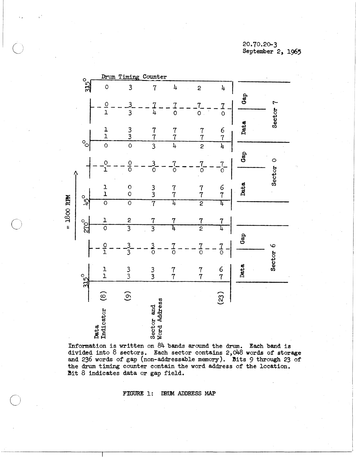## 20.70.20-3 September 2, 1965



 $\bigcirc$ 

Information is written on  $84$  bands around the drum. Each band is divided into  $8$  sectors. Each sector contains  $2,048$  words of storage and 236 words of gap (non-addressable memory). Bits 9 through 23 of the drum timing counter contain the word address of the location. Bit 8 indicates data or gap field.

FIGURE 1: DRUM ADDRESS MAP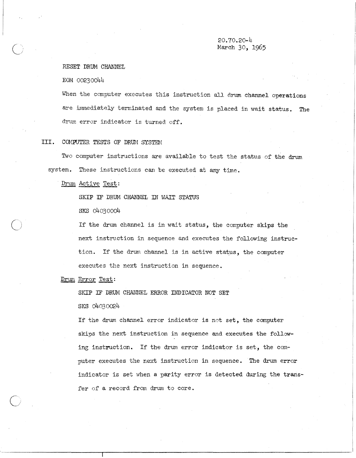## 20.70.20-4 Maxch 30, 1965

#### RESET DRUM CHANNEL

EOM 00230044

When the computer executes this instruction all drum channel operations are immediately terminated and the system is placed in wait status. The drum error indicator is turned off.

#### III. CGffUTER TESTS OF DRUM SYSTEM

Two computer instructions are available to test the status of the drum system. These instructions can be executed at any time.

Drum Active Test:

SKIP IF DRUM CHANNEL IN WAIT STATUS

SKS 04030004

If the drum channel is in wait status, the computer skips the next instruction in sequence and executes the following instruction. If the drum channel is in active status, the computer executes the next instruction in sequence.

Drum Error Test:

SKIP IF DRUM CHANNEL ERROR INDICATOR NOT SET SKS 04030024

If the drum channel error indicator is not set, the computer skips the next instruction in sequence and executes the following instruction. If the drum error indicator is set, the computer executes the next instruction in sequence. The drum error indicator is set when a parity error is detected during the transfer of a record from drum to core.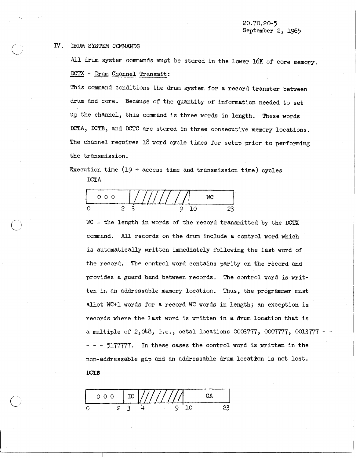#### IV. DRUM SYSTEM COMMANDS

All drum system commands must be stored in the lower 16K of core memory. DCTX - Drum Channel Transmit:

This command conditions the drum system for a record transter between drum and core. Because of the quantity of information needed to set up the channel, this command is three words in length. These words DCTA, DCTB, and DCTC are stored in three consecutive memory locations. The channel requires 18 word cycle times for setup prior to performing the transmission.

Execution time  $(19 + \text{access time and transmission time})$  cycles DCTA

| $\cup$ $\cup$ |  |  |  |  |  |  |  |
|---------------|--|--|--|--|--|--|--|
|               |  |  |  |  |  |  |  |

 $WC = the length in words of the record transmitted by the DCTX$ command. All records on the drum include a control word which is automatically written immediately following the last word of the record. The control word contains parity on the record and provides a guard band between records. The control word is' written in an addressable memory location. Thus, the programmer must allot WC+l words for a record WC words in length; an exception is records where the last word is written in a drum location that is a multiple of 2,048, i.e., octal locations  $0003777$ ,  $0007777$ ,  $0013777 - -$ - - - 5177777. In these cases the control word is written in the non-addressable gap and an addressable drum location is not lost.  $DCTB$ 

o 2 3 4 9 10 23 o 0 0 **I** IO 11/l!7lla CA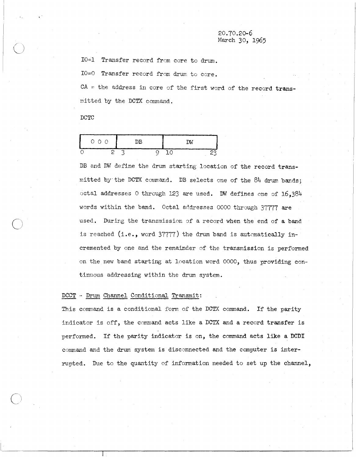#### 20.70.20-6 March 30, 1965

IO=l Transfer record from core to drum.

IO=0 Transfer record from drum to core.

 $CA =$  the address in core of the first word of the record transmi tted by the DCTX command.

DCTC

 $\bigcirc$ 

 $\bigcirc$ 

|  | 000 |  | DB |  | D۷ |  |
|--|-----|--|----|--|----|--|
|  |     |  |    |  |    |  |

DB and DW define the drum starting location of the record transmitted by· the DCTX command. DB selects one of the 84 drum bands; octal addresses 0 through 123 are used. DW defines one of 16,384 words within the band. Octal addresses 0000 through 37777 are used. During the transmission of a record when the end of a band is reached (i.e., word  $37777$ ) the drum band is automatically incremented by one and the remainder of the transmission is performed on the new band starting at location word 0000, thus providing continuous addressing within the drum system.

#### DCCT - Drum Channel Conditional Transmit:

This command is a conditional form of the DCTX command. If the parity indicator is off, the command acts like a DCTX and a record transfer is performed. If the parity indicator is on, the command acts like a DCDI command and the drum system is disconnected and the computer is interrupted. Due to the quantity of information needed to set up the channel,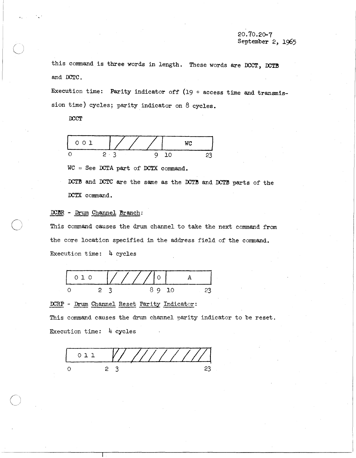this command is three words in length. These words are DCCT, DCTB and OOTC.

Execution time: Parity indicator off (19 + access time and transmission time) cycles; parity indicator on 8 cycles.

**DCCT** 

"

 $\bigcirc$ 



 $WC = See DCTA part of DCTX command.$ 

DCTB and DCTC are the same as the DCTB and DCTB parts of the DCTX command.

## DCBR - Drum Channel Branch:

This command causes the drum channel to take the next command from the core location specified in the address field of the command. Execution time: 4 cycles



#### OORP - Drum Channel Reset Parity Indicator:

This command causes the drum channel parity indicator to be reset. Execution time: 4 cycles

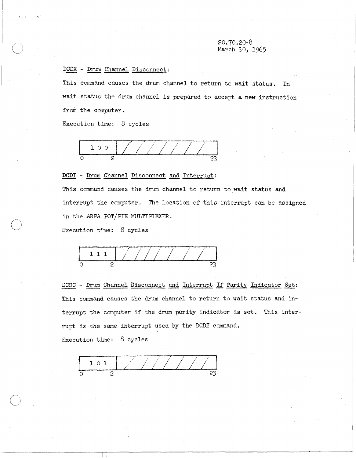## 20.70.20-8 March 30, 1965

## DCDX - Drum Channel Disconnect:

. .

This command causes the drum channel to return to wait status. In wait status the drum channel is prepared to accept a new instruction from the computer.

Execution time: 8 cycles



#### DCDI - Drum Channel Disconnect and Interrupt:

This command causes the drum channel to return to wait status and interrupt the computer. The location of this interrupt can be assigned in the *ARPA* POT/PIN MULTIPLEXER.

Execution time: 8 cycles



DCDC - Drum Channel Disconnect and Interrupt If Parity Indicator Set: This command causes the drum channel to return to wait status and interrupt the computer if the drum parity indicator is set. This interrupt is the same interrupt used by the DCDI command. Execution time: 8 cycles

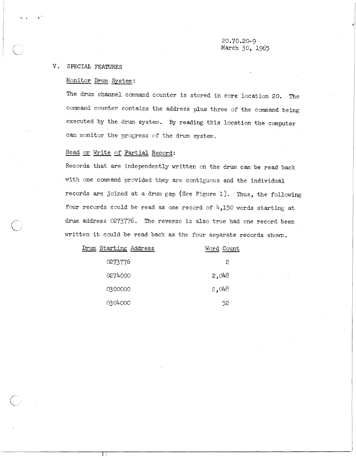#### **v.** SPECIAL FEATURES

<" •

## Monitor Drum System:

The drum channel command counter is stored in core location 20. The command counter contains the address plus three of the command being executed by the drum system. By reading this location the computer can monitor the progress of the drum system.

## Read or Write of Partial Record:

 $\Box$ 

Records that are independently written on the drum can be read back with one command provided they are contiguous and the individual records are joined at a drum gap (See Figure 1). Thus, the following four records could be read as one record of  $4,150$  words starting at drum address 0273776. The reverse is also true had one record been written it could be read back as the four separate records shown.

| Drum Starting Address | Word Count |
|-----------------------|------------|
| 0273776               | 2          |
| 0274000               | 2,048      |
| 0300000               | 2,048      |
| 0304000               | 52         |